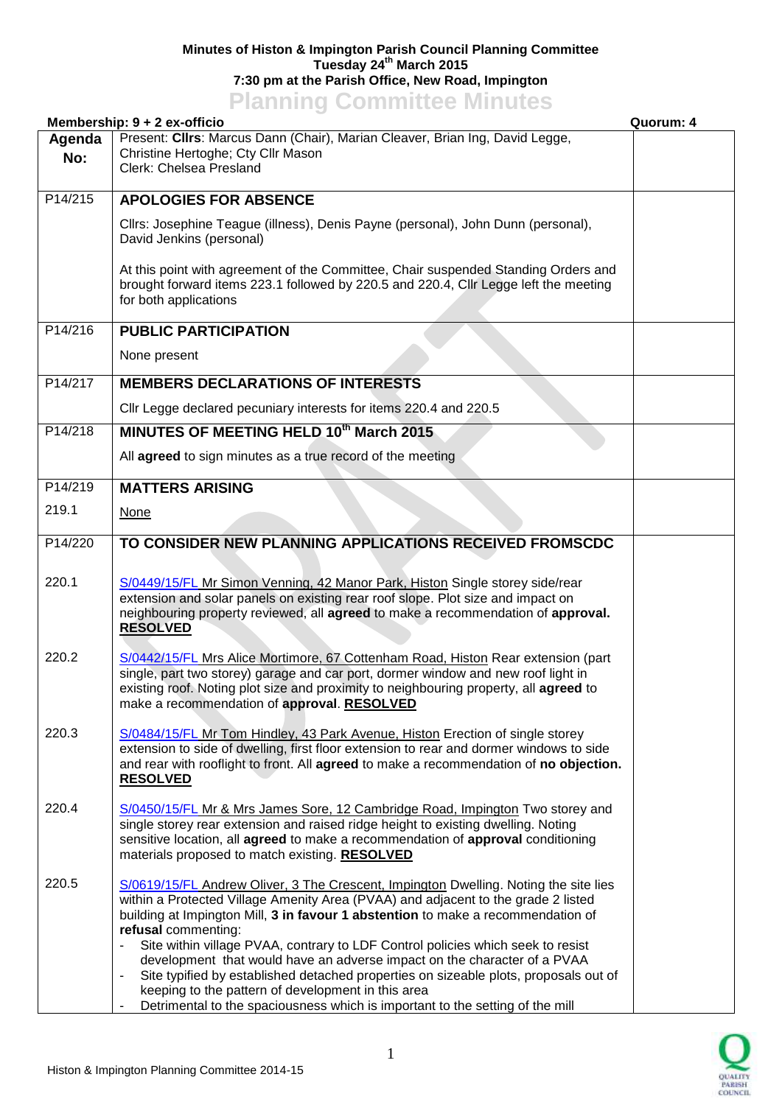## **Minutes of Histon & Impington Parish Council Planning Committee Tuesday 24th March 2015 7:30 pm at the Parish Office, New Road, Impington Planning Committee Minutes**

| <b>TRIBUTE COMMITTEE</b><br>Membership: 9 + 2 ex-officio<br>Quorum: 4 |                                                                                                                                                                                                                                                                                                                                                                                                                                                                                                                                                                                                                                                                                                      |  |  |
|-----------------------------------------------------------------------|------------------------------------------------------------------------------------------------------------------------------------------------------------------------------------------------------------------------------------------------------------------------------------------------------------------------------------------------------------------------------------------------------------------------------------------------------------------------------------------------------------------------------------------------------------------------------------------------------------------------------------------------------------------------------------------------------|--|--|
| Agenda<br>No:                                                         | Present: Cllrs: Marcus Dann (Chair), Marian Cleaver, Brian Ing, David Legge,<br>Christine Hertoghe; Cty Cllr Mason<br>Clerk: Chelsea Presland                                                                                                                                                                                                                                                                                                                                                                                                                                                                                                                                                        |  |  |
| P14/215                                                               | <b>APOLOGIES FOR ABSENCE</b>                                                                                                                                                                                                                                                                                                                                                                                                                                                                                                                                                                                                                                                                         |  |  |
|                                                                       | Cllrs: Josephine Teague (illness), Denis Payne (personal), John Dunn (personal),<br>David Jenkins (personal)                                                                                                                                                                                                                                                                                                                                                                                                                                                                                                                                                                                         |  |  |
|                                                                       | At this point with agreement of the Committee, Chair suspended Standing Orders and<br>brought forward items 223.1 followed by 220.5 and 220.4, Cllr Legge left the meeting<br>for both applications                                                                                                                                                                                                                                                                                                                                                                                                                                                                                                  |  |  |
| P14/216                                                               | <b>PUBLIC PARTICIPATION</b>                                                                                                                                                                                                                                                                                                                                                                                                                                                                                                                                                                                                                                                                          |  |  |
|                                                                       | None present                                                                                                                                                                                                                                                                                                                                                                                                                                                                                                                                                                                                                                                                                         |  |  |
| P14/217                                                               | <b>MEMBERS DECLARATIONS OF INTERESTS</b>                                                                                                                                                                                                                                                                                                                                                                                                                                                                                                                                                                                                                                                             |  |  |
|                                                                       | Cllr Legge declared pecuniary interests for items 220.4 and 220.5                                                                                                                                                                                                                                                                                                                                                                                                                                                                                                                                                                                                                                    |  |  |
| P14/218                                                               | MINUTES OF MEETING HELD 10th March 2015                                                                                                                                                                                                                                                                                                                                                                                                                                                                                                                                                                                                                                                              |  |  |
|                                                                       | All agreed to sign minutes as a true record of the meeting                                                                                                                                                                                                                                                                                                                                                                                                                                                                                                                                                                                                                                           |  |  |
| P14/219                                                               | <b>MATTERS ARISING</b>                                                                                                                                                                                                                                                                                                                                                                                                                                                                                                                                                                                                                                                                               |  |  |
| 219.1                                                                 | None                                                                                                                                                                                                                                                                                                                                                                                                                                                                                                                                                                                                                                                                                                 |  |  |
| P14/220                                                               | TO CONSIDER NEW PLANNING APPLICATIONS RECEIVED FROMSCDC                                                                                                                                                                                                                                                                                                                                                                                                                                                                                                                                                                                                                                              |  |  |
| 220.1                                                                 | S/0449/15/FL Mr Simon Venning, 42 Manor Park, Histon Single storey side/rear<br>extension and solar panels on existing rear roof slope. Plot size and impact on<br>neighbouring property reviewed, all agreed to make a recommendation of approval.<br><b>RESOLVED</b>                                                                                                                                                                                                                                                                                                                                                                                                                               |  |  |
| 220.2                                                                 | S/0442/15/FL Mrs Alice Mortimore, 67 Cottenham Road, Histon Rear extension (part<br>single, part two storey) garage and car port, dormer window and new roof light in<br>existing roof. Noting plot size and proximity to neighbouring property, all agreed to<br>make a recommendation of approval. RESOLVED                                                                                                                                                                                                                                                                                                                                                                                        |  |  |
| 220.3                                                                 | S/0484/15/FL Mr Tom Hindley, 43 Park Avenue, Histon Erection of single storey<br>extension to side of dwelling, first floor extension to rear and dormer windows to side<br>and rear with rooflight to front. All agreed to make a recommendation of no objection.<br><b>RESOLVED</b>                                                                                                                                                                                                                                                                                                                                                                                                                |  |  |
| 220.4                                                                 | S/0450/15/FL Mr & Mrs James Sore, 12 Cambridge Road, Impington Two storey and<br>single storey rear extension and raised ridge height to existing dwelling. Noting<br>sensitive location, all agreed to make a recommendation of approval conditioning<br>materials proposed to match existing. RESOLVED                                                                                                                                                                                                                                                                                                                                                                                             |  |  |
| 220.5                                                                 | S/0619/15/FL Andrew Oliver, 3 The Crescent, Impington Dwelling. Noting the site lies<br>within a Protected Village Amenity Area (PVAA) and adjacent to the grade 2 listed<br>building at Impington Mill, 3 in favour 1 abstention to make a recommendation of<br>refusal commenting:<br>Site within village PVAA, contrary to LDF Control policies which seek to resist<br>development that would have an adverse impact on the character of a PVAA<br>Site typified by established detached properties on sizeable plots, proposals out of<br>keeping to the pattern of development in this area<br>Detrimental to the spaciousness which is important to the setting of the mill<br>$\blacksquare$ |  |  |